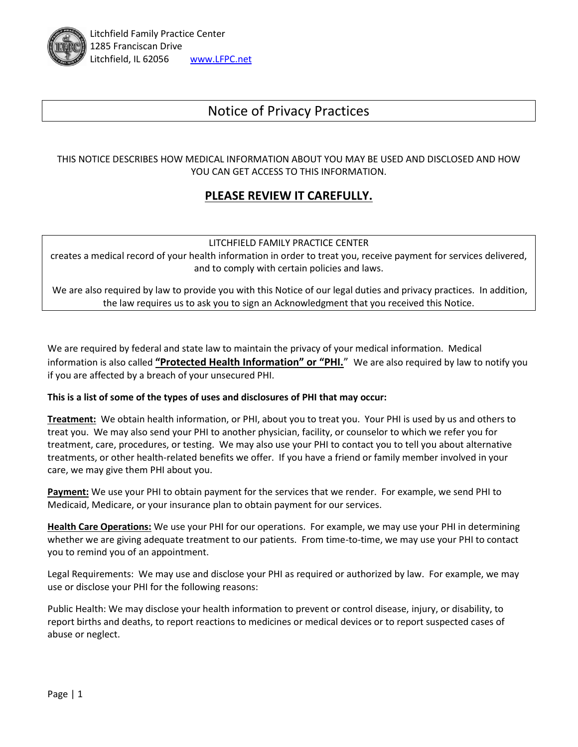

# Notice of Privacy Practices

THIS NOTICE DESCRIBES HOW MEDICAL INFORMATION ABOUT YOU MAY BE USED AND DISCLOSED AND HOW YOU CAN GET ACCESS TO THIS INFORMATION.

## **PLEASE REVIEW IT CAREFULLY.**

#### LITCHFIELD FAMILY PRACTICE CENTER

creates a medical record of your health information in order to treat you, receive payment for services delivered, and to comply with certain policies and laws.

We are also required by law to provide you with this Notice of our legal duties and privacy practices. In addition, the law requires us to ask you to sign an Acknowledgment that you received this Notice.

We are required by federal and state law to maintain the privacy of your medical information. Medical information is also called **"Protected Health Information" or "PHI.**" We are also required by law to notify you if you are affected by a breach of your unsecured PHI.

#### **This is a list of some of the types of uses and disclosures of PHI that may occur:**

**Treatment:** We obtain health information, or PHI, about you to treat you. Your PHI is used by us and others to treat you. We may also send your PHI to another physician, facility, or counselor to which we refer you for treatment, care, procedures, or testing. We may also use your PHI to contact you to tell you about alternative treatments, or other health-related benefits we offer. If you have a friend or family member involved in your care, we may give them PHI about you.

**Payment:** We use your PHI to obtain payment for the services that we render. For example, we send PHI to Medicaid, Medicare, or your insurance plan to obtain payment for our services.

**Health Care Operations:** We use your PHI for our operations. For example, we may use your PHI in determining whether we are giving adequate treatment to our patients. From time-to-time, we may use your PHI to contact you to remind you of an appointment.

Legal Requirements: We may use and disclose your PHI as required or authorized by law. For example, we may use or disclose your PHI for the following reasons:

Public Health: We may disclose your health information to prevent or control disease, injury, or disability, to report births and deaths, to report reactions to medicines or medical devices or to report suspected cases of abuse or neglect.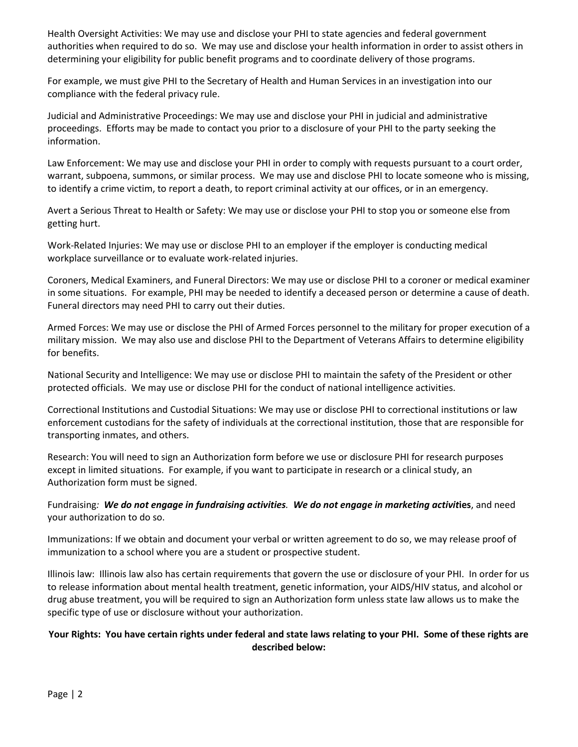Health Oversight Activities: We may use and disclose your PHI to state agencies and federal government authorities when required to do so. We may use and disclose your health information in order to assist others in determining your eligibility for public benefit programs and to coordinate delivery of those programs.

For example, we must give PHI to the Secretary of Health and Human Services in an investigation into our compliance with the federal privacy rule.

Judicial and Administrative Proceedings: We may use and disclose your PHI in judicial and administrative proceedings. Efforts may be made to contact you prior to a disclosure of your PHI to the party seeking the information.

Law Enforcement: We may use and disclose your PHI in order to comply with requests pursuant to a court order, warrant, subpoena, summons, or similar process. We may use and disclose PHI to locate someone who is missing, to identify a crime victim, to report a death, to report criminal activity at our offices, or in an emergency.

Avert a Serious Threat to Health or Safety: We may use or disclose your PHI to stop you or someone else from getting hurt.

Work-Related Injuries: We may use or disclose PHI to an employer if the employer is conducting medical workplace surveillance or to evaluate work-related injuries.

Coroners, Medical Examiners, and Funeral Directors: We may use or disclose PHI to a coroner or medical examiner in some situations. For example, PHI may be needed to identify a deceased person or determine a cause of death. Funeral directors may need PHI to carry out their duties.

Armed Forces: We may use or disclose the PHI of Armed Forces personnel to the military for proper execution of a military mission. We may also use and disclose PHI to the Department of Veterans Affairs to determine eligibility for benefits.

National Security and Intelligence: We may use or disclose PHI to maintain the safety of the President or other protected officials. We may use or disclose PHI for the conduct of national intelligence activities.

Correctional Institutions and Custodial Situations: We may use or disclose PHI to correctional institutions or law enforcement custodians for the safety of individuals at the correctional institution, those that are responsible for transporting inmates, and others.

Research: You will need to sign an Authorization form before we use or disclosure PHI for research purposes except in limited situations. For example, if you want to participate in research or a clinical study, an Authorization form must be signed.

Fundraising*: We do not engage in fundraising activities. We do not engage in marketing activit***ies**, and need your authorization to do so.

Immunizations: If we obtain and document your verbal or written agreement to do so, we may release proof of immunization to a school where you are a student or prospective student.

Illinois law: Illinois law also has certain requirements that govern the use or disclosure of your PHI. In order for us to release information about mental health treatment, genetic information, your AIDS/HIV status, and alcohol or drug abuse treatment, you will be required to sign an Authorization form unless state law allows us to make the specific type of use or disclosure without your authorization.

### **Your Rights: You have certain rights under federal and state laws relating to your PHI. Some of these rights are described below:**